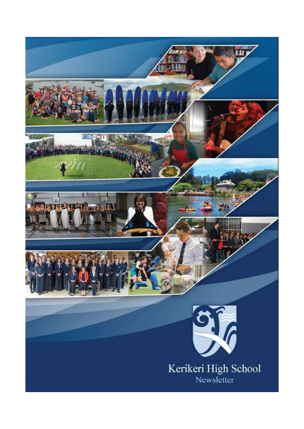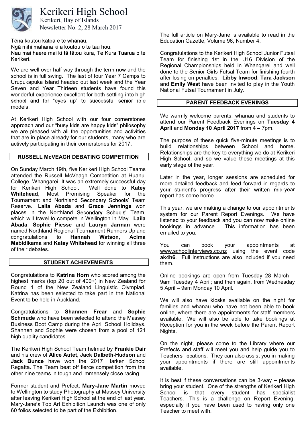

# Kerikeri High School

Newsletter No. 2, 28 March 2017 Kerikeri, Bay of Islands

Tēna koutou katoa e te whanau.

Ngā mihi mahana ki a koutou o te tau hou.

Nau mai haere mai ki tā tātou kura, Te Kura Tuarua o te Kerikeri.

We are well over half way through the term now and the school is in full swing. The last of four Year 7 Camps to Urupukapuka Island headed out last week and the Year Seven and Year Thirteen students have found this wonderful experience excellent for both settling into high school and for "eyes up" to successful senior role models.

At Kerikeri High School with our four cornerstones approach and our "busy kids are happy kids" philosophy we are pleased with all the opportunities and activities that are in place already for our students, many who are actively participating in their cornerstones for 2017.

## RUSSELL McVEAGH DEBATING COMPETITION

On Sunday March 19th, five Kerikeri High School Teams attended the Russell McVeagh Competition at Huanui College, Whangarei. It was an extremely successful day for Kerikeri High School. Well done to Katey Whitehead, Most Promising Speaker for the Tournament and Northland Secondary Schools' Team Reserve. Laila Abada and Grace Jennings won places in the Northland Secondary Schools' Team, which will travel to compete in Wellington in May. Laila Abada, Sophie Piesse and Lauryn Jarman were named Northland Regional Tournament Runners Up and congratulations to Hannah Watson, Acima Mabidikama and Katey Whitehead for winning all three of their debates.

## STUDENT ACHIEVEMENTS

Congratulations to Katrina Horn who scored among the highest marks (top 20 out of 400+) in New Zealand for Round 1 of the New Zealand Linguistic Olympiad. Katrina has been selected to take part in the National Event to be held in Auckland.

Congratulations to Shannen Frear and Sophie **Schmude** who have been selected to attend the Massey Business Boot Camp during the April School Holidays. Shannen and Sophie were chosen from a pool of 121 high quality candidates.

The Kerikeri High School Team helmed by Frankie Dair and his crew of Alice Autet, Jack Dalbeth-Hudson and Jack Bunce have won the 2017 Harken School Regatta. The Team beat off fierce competition from the other nine teams in tough and immensely close racing.

Former student and Prefect, Mary-Jane Martin moved to Wellington to study Photography at Massey University after leaving Kerikeri High School at the end of last year. Mary-Jane's Top Art Exhibition Launch was one of only 60 folios selected to be part of the Exhibition.

The full article on Mary-Jane is available to read in the Education Gazette, Volume 96, Number 4.

Congratulations to the Kerikeri High School Junior Futsal Team for finishing 1st in the U16 Division of the Regional Championships held in Whangarei and well done to the Senior Girls Futsal Team for finishing fourth after losing on penalties. Libby Inwood, Tara Jackson and Emily West have been invited to play in the Youth National Futsal Tournament in July.

## PARENT FEEDBACK EVENINGS

We warmly welcome parents, whanau and students to attend our Parent Feedback Evenings on Tuesday 4 April and Monday 10 April 2017 from  $4 - 7$ pm.

The purpose of these quick five-minute meetings is to build relationships between School and home. Relationships are the key to everything we do at Kerikeri High School, and so we value these meetings at this early stage of the year.

Later in the year, longer sessions are scheduled for more detailed feedback and feed forward in regards to your student's progress after their written mid-year report has come home.

This year, we are making a change to our appointments system for our Parent Report Evenings. We have listened to your feedback and you can now make online bookings in advance. This information has been emailed to you.

You can book your appointments at www.schoolinterviews.co.nz using the event code ak4h6. Full instructions are also included if you need them.

Online bookings are open from Tuesday 28 March 9am Tuesday 4 April; and then again, from Wednesday 5 April - 9am Monday 10 April.

We will also have kiosks available on the night for families and whanau who have not been able to book online, where there are appointments for staff members available. We will also be able to take bookings at Reception for you in the week before the Parent Report Nights.

On the night, please come to the Library where our Prefects and staff will meet you and help guide you to Teachers' locations. They can also assist you in making your appointments if there are still appointments available.

It is best if these conversations can be  $3$ -way  $-$  please bring your student. One of the strengths of Kerikeri High School is that every student has specialist Teachers. This is a challenge on Report Evening, especially if you have been used to having only one Teacher to meet with.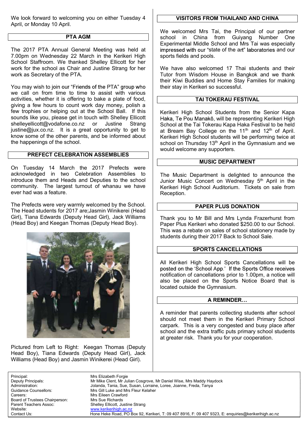We look forward to welcoming you on either Tuesday 4 April, or Monday 10 April.

## PTA AGM

The 2017 PTA Annual General Meeting was held at 7.00pm on Wednesday 22 March in the Kerikeri High School Staffroom. We thanked Shelley Ellicott for her work for the school as Chair and Justine Strang for her work as Secretary of the PTA.

You may wish to join our "Friends of the PTA" group who we call on from time to time to assist with various activities, whether it is offering to bake a plate of food, giving a few hours to count work day money, polish a few trophies or helping out at the School Ball. If this sounds like you, please get in touch with Shelley Ellicott shelleyellicott@vodafone.co.nz or Justine Strang justine@jux.co.nz. It is a great opportunity to get to know some of the other parents, and be informed about the happenings of the school.

## PREFECT CELEBRATION ASSEMBLIES

On Tuesday 14 March the 2017 Prefects were acknowledged in two Celebration Assemblies to introduce them and Heads and Deputies to the school community. The largest turnout of whanau we have ever had was a feature.

The Prefects were very warmly welcomed by the School. The Head students for 2017 are;Jasmin Winikerei (Head Girl), Tiana Edwards (Deputy Head Girl), Jack Williams (Head Boy) and Keegan Thomas (Deputy Head Boy).



Pictured from Left to Right: Keegan Thomas (Deputy Head Boy), Tiana Edwards (Deputy Head Girl), Jack Williams (Head Boy) and Jasmin Winikerei (Head Girl).

## VISITORS FROM THAILAND AND CHINA

We welcomed Mrs Tai, the Principal of our partner school in China from Guiyang Number One Experimental Middle School and Mrs Tai was especially impressed with our "state of the art" laboratories and our sports fields and pools.

We have also welcomed 17 Thai students and their Tutor from Wisdom House in Bangkok and we thank their Kiwi Buddies and Home Stay Families for making their stay in Kerikeri so successful.

#### TAI TOKERAU FESTIVAL

Kerikeri High School Students from the Senior Kapa Haka, Te Pou Manakō, will be representing Kerikeri High School at the Tai Tokerau Kapa Haka Festival to be held at Bream Bay College on the  $11<sup>th</sup>$  and  $12<sup>th</sup>$  of April. Kerikeri High School students will be performing twice at school on Thursday 13<sup>th</sup> April in the Gymnasium and we would welcome any supporters.

#### MUSIC DEPARTMENT

The Music Department is delighted to announce the Junior Music Concert on Wednesday 5<sup>th</sup> April in the Kerikeri High School Auditorium. Tickets on sale from Reception.

## PAPER PLUS DONATION

Thank you to Mr Bill and Mrs Lynda Frazerhurst from Paper Plus Kerikeri who donated \$250.00 to our School. This was a rebate on sales of school stationery made by students during their 2017 Back to School Sale.

#### SPORTS CANCELLATIONS

All Kerikeri High School Sports Cancellations will be posted on the 'School App.' If the Sports Office receives notification of cancellations prior to 1.00pm, a notice will also be placed on the Sports Notice Board that is located outside the Gymnasium.

#### A REMINDER...

A reminder that parents collecting students after school should not meet them in the Kerikeri Primary School carpark. This is a very congested and busy place after school and the extra traffic puts primary school students at greater risk. Thank you for your cooperation.

Principal: Mrs Elizabeth Forgie Careers: Mrs Eileen Crawford Board of Trustees Chairperson: Mrs Sue Richards

Mr Mike Clent, Mr Julian Cosgrove, Mr Daniel Wise, Mrs Maddy Haydock Administration: Jolanda, Tania, Sue, Susan, Lorraine, Loree, Joanne, Freda, Tanya Guidance Counsellors: Mrs Gill Luke and Mrs Fleur Kelaher Parent Teachers Assoc: Shelley Ellicott, Justine Strang<br>
Website: www.kerikerihigh.ac.nz www.kerikerihigh.ac.nz Contact Us: Hone Heke Road, PO Box 92, Kerikeri, T: 09 407 8916, F: 09 407 9323, E: enquiries@kerikerihigh.ac.nz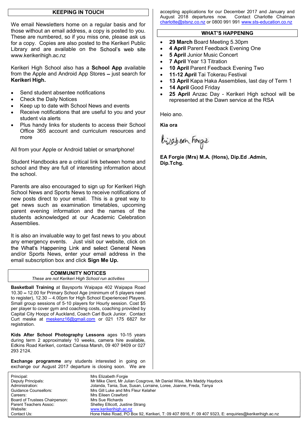## KEEPING IN TOUCH

We email Newsletters home on a regular basis and for those without an email address, a copy is posted to you. These are numbered, so if you miss one, please ask us for a copy. Copies are also posted to the Kerikeri Public Library and are available on the School's web site www.kerikerihigh.ac.nz

Kerikeri High School also has a School App available from the Apple and Android App Stores  $-$  just search for Kerikeri High.

- Send student absentee notifications
- Check the Daily Notices
- Keep up to date with School News and events
- Receive notifications that are useful to you and your student via alerts
- Plus handy links for students to access their School Office 365 account and curriculum resources and more

All from your Apple or Android tablet or smartphone!

Student Handbooks are a critical link between home and school and they are full of interesting information about the school.

Parents are also encouraged to sign up for Kerikeri High School News and Sports News to receive notifications of new posts direct to your email. This is a great way to get news such as examination timetables, upcoming parent evening information and the names of the students acknowledged at our Academic Celebration Assemblies.

It is also an invaluable way to get fast news to you about any emergency events. Just visit our website, click on the What's Happening Link and select General News and/or Sports News, enter your email address in the email subscription box and click Sign Me Up.

# COMMUNITY NOTICES

These are not Kerikeri High School run activities

Basketball Training at Baysports Waipapa 402 Waipapa Road 10.30 - 12.00 for Primary School Age (minimum of 5 players need to register), 12.30 - 4.00pm for High School Experienced Players. Small group sessions of 5-10 players for Hourly session. Cost \$5 per player to cover gym and coaching costs, coaching provided by Capital City Hoopz of Auckland, Coach Carl Buck Junior. Contact Curt meske at meskenz16@gmail.com or 021 175 6827 for registration.

Kids After School Photography Lessons ages 10-15 years during term 2 approximately 10 weeks, camera hire available, Edkins Road Kerikeri, contact Carissa Marsh, 09 407 9409 or 027 293 2124.

**Exchange programme** any students interested in going on exchange our August 2017 departure is closing soon. We are

accepting applications for our December 2017 and January and August 2018 departures now. Contact Charlotte Chalman charlotte@stsnz.co.nz or 0800 991 991 www.sts-education.co.nz

#### **WHAT'S HAPPENING**

- $\bullet$ 29 March Board Meeting 5.30pm
- $\bullet$ 4 April Parent Feedback Evening One
- 5 April Junior Music Concert  $\bullet$
- 7 April Year 13 Titration
- $\bullet$ 10 April Parent Feedback Evening Two
- $\bullet$ 11-12 April Tai Tokerau Festival
- 13 April Kapa Haka Assemblies, last day of Term 1  $\bullet$
- 14 April Good Friday  $\bullet$
- 25 April Anzac Day Kerikeri High school will be represented at the Dawn service at the RSA

Heio ano.

Kia ora

bijabean Forgie

EA Forgie (Mrs) M.A. (Hons), Dip.Ed .Admin, Dip.Tchg.

Principal: Mrs Elizabeth Forgie Mr Mike Clent, Mr Julian Cosgrove, Mr Daniel Wise, Mrs Maddy Haydock Administration: Jolanda, Tania, Sue, Susan, Lorraine, Loree, Joanne, Freda, Tanya Guidance Counsellors: Mrs Gill Luke and Mrs Fleur Kelaher Careers: Mrs Eileen Crawford Board of Trustees Chairperson: Mrs Sue Richards Parent Teachers Assoc: Shelley Ellicott, Justine Strang<br>
Website: www.kerikerihigh.ac.nz www.kerikerihigh.ac.nz Contact Us: Hone Heke Road, PO Box 92, Kerikeri, T: 09 407 8916, F: 09 407 9323, E: enquiries@kerikerihigh.ac.nz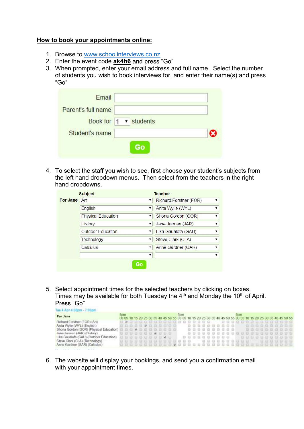# How to book your appointments online:

- 1. Browse to www.schoolinterviews.co.nz
- 2. Enter the event code **ak4h6** and press "Go"
- 3. When prompted, enter your email address and full name. Select the number of students you wish to book interviews for, and enter their name(s) and press "Go"

| Book for 1 v students |
|-----------------------|
|                       |
|                       |
|                       |

4. To select the staff you wish to see, first choose your student's subjects from the left hand dropdown menus. Then select from the teachers in the right hand dropdowns.

|          | <b>Subject</b>            |              | <b>Teacher</b>         | 7<br>$\overline{\phantom{a}}$<br>$\overline{\phantom{0}}$<br><b>v</b><br>$\overline{\phantom{0}}$<br><b>v</b><br>$\overline{\phantom{0}}$ |
|----------|---------------------------|--------------|------------------------|-------------------------------------------------------------------------------------------------------------------------------------------|
| For Jane | Art                       | ▼            | Richard Forstner (FOR) |                                                                                                                                           |
|          | English                   | $\mathbf{v}$ | Anita Wylie (WYL)      |                                                                                                                                           |
|          | <b>Physical Education</b> | ▼            | Shona Gordon (GOR)     |                                                                                                                                           |
|          | History                   | ۷            | Jane Jarman (JAR)      |                                                                                                                                           |
|          | <b>Outdoor Education</b>  | ▼            | Lika Gaualofa (GAU)    |                                                                                                                                           |
|          | Technology                | ▼            | Steve Clark (CLA)      |                                                                                                                                           |
|          | Calculus                  |              | Anne Gardner (GAR)     |                                                                                                                                           |
|          |                           | ▼            |                        | v.,                                                                                                                                       |

5. Select appointment times for the selected teachers by clicking on boxes. Times may be available for both Tuesday the  $4<sup>th</sup>$  and Monday the 10<sup>th</sup> of April.<br>Press "Go"

| For Jane                                | 4pm |                          |  |  |  |  | <b>Spm</b>  |  |  |  |  |  | 6pm |  |  |  | 00 05 10 15 20 25 30 35 40 45 50 55 00 05 10 15 20 25 30 35 40 45 50 55 00 05 10 15 20 25 30 35 40 45 50 55 |  |
|-----------------------------------------|-----|--------------------------|--|--|--|--|-------------|--|--|--|--|--|-----|--|--|--|-------------------------------------------------------------------------------------------------------------|--|
| Richard Forstner (FOR) (Art)            |     |                          |  |  |  |  |             |  |  |  |  |  |     |  |  |  |                                                                                                             |  |
| Anita Wyte (WYL) (English)              |     |                          |  |  |  |  | 00000000000 |  |  |  |  |  |     |  |  |  | 0000000000 0000000000                                                                                       |  |
| Shona Gordon (GOR) (Physical Education) |     | 00000000000              |  |  |  |  |             |  |  |  |  |  |     |  |  |  | 0000000000 000000000                                                                                        |  |
| Jane Jarman (JAR) (History)             |     | <b>BBBBBBB 8 8 8 8 8</b> |  |  |  |  |             |  |  |  |  |  |     |  |  |  |                                                                                                             |  |
| Lika Gaualofa (GAU) (Outdoor Education) |     | 0000000000               |  |  |  |  |             |  |  |  |  |  |     |  |  |  | 0000000000 0000000000                                                                                       |  |
| Steve Clark (CLA) (Technology)          |     |                          |  |  |  |  |             |  |  |  |  |  |     |  |  |  | 006800000000000 0088800800 0000000                                                                          |  |
| Anne Gardner (GAR) (Calculus)           |     |                          |  |  |  |  |             |  |  |  |  |  |     |  |  |  |                                                                                                             |  |

6. The website will display your bookings, and send you a confirmation email with your appointment times.